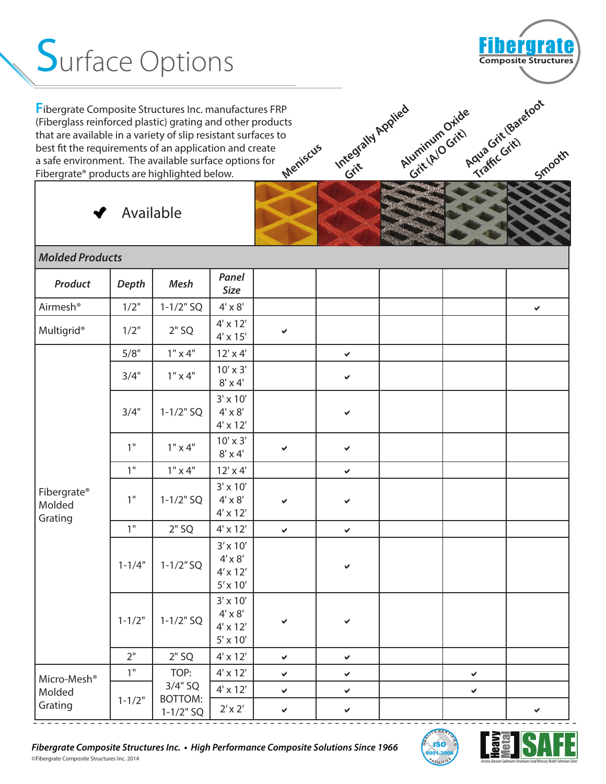## **Surface Options**

**Meniscus F**ibergrate Composite Structures Inc. manufactures FRP (Fiberglass reinforced plastic) grating and other products that are available in a variety of slip resistant surfaces to best fit the requirements of an application and create a safe environment. The available surface options for Fibergrate® products are highlighted below.



**Smooth**

e<br>Aqua Grit (Barefoot<br>Aqua Grit (

**Ava** Grienda<br>Traffic Grit)

Available

| <b>Molded Products</b>                       |              |                                 |                                                                         |              |              |  |              |              |
|----------------------------------------------|--------------|---------------------------------|-------------------------------------------------------------------------|--------------|--------------|--|--------------|--------------|
| Product                                      | <b>Depth</b> | Mesh                            | Panel<br><b>Size</b>                                                    |              |              |  |              |              |
| Airmesh®                                     | 1/2"         | $1 - 1/2"$ SQ                   | $4' \times 8'$                                                          |              |              |  |              | $\checkmark$ |
| <b>Multigrid®</b>                            | 1/2"         | $2"$ SQ                         | $4' \times 12'$<br>$4' \times 15'$                                      | ✔            |              |  |              |              |
|                                              | 5/8"         | $1" \times 4"$                  | $12' \times 4'$                                                         |              | $\checkmark$ |  |              |              |
|                                              | 3/4"         | $1" \times 4"$                  | $10' \times 3'$<br>$8' \times 4'$                                       |              | ×.           |  |              |              |
|                                              | 3/4"         | $1 - 1/2" SO$                   | $3' \times 10'$<br>$4' \times 8'$<br>$4' \times 12'$                    |              | ✔            |  |              |              |
|                                              | 1"           | $1" \times 4"$                  | $10' \times 3'$<br>$8' \times 4'$                                       | ✔            | ✔            |  |              |              |
|                                              | 1"           | $1" \times 4"$                  | $12' \times 4'$                                                         |              | Ý.           |  |              |              |
| Fibergrate®<br>Molded<br>Grating             | 1"           | $1 - 1/2"$ SQ                   | $3' \times 10'$<br>$4' \times 8'$<br>$4' \times 12'$                    | ✔            | ✔            |  |              |              |
|                                              | 1"           | $2"$ SQ                         | $4' \times 12'$                                                         | $\checkmark$ | $\checkmark$ |  |              |              |
|                                              | $1 - 1/4"$   | $1 - 1/2"$ SQ                   | $3' \times 10'$<br>$4' \times 8'$<br>$4' \times 12'$<br>$5' \times 10'$ |              |              |  |              |              |
|                                              | $1 - 1/2"$   | $1 - 1/2" SO$                   | $3' \times 10'$<br>$4' \times 8'$<br>$4' \times 12'$<br>$5' \times 10'$ | ✔            | ✔            |  |              |              |
|                                              | 2"           | $2"$ SQ                         | $4' \times 12'$                                                         | $\checkmark$ | $\checkmark$ |  |              |              |
| Micro-Mesh <sup>®</sup><br>Molded<br>Grating | 1"           | TOP:                            | $4' \times 12'$                                                         | $\checkmark$ | V            |  | $\checkmark$ |              |
|                                              | $1 - 1/2"$   | $3/4"$ SQ                       | $4' \times 12'$                                                         | $\checkmark$ | $\checkmark$ |  | $\checkmark$ |              |
|                                              |              | <b>BOTTOM:</b><br>$1 - 1/2" SO$ | $2' \times 2'$                                                          | ✔            | ✔            |  |              | ✔            |

Integrally Applied

**Aluminum Oride**<br>Aluminum Oride Luminum Grit)

**Grit** 

- - - - - - - - - - - - - - - - - - - - - - - - - - - - - - - - - - - - - - - - - - - - - - - - - - - - - - - - - - - - - - - - - - - - - - - - - - - -